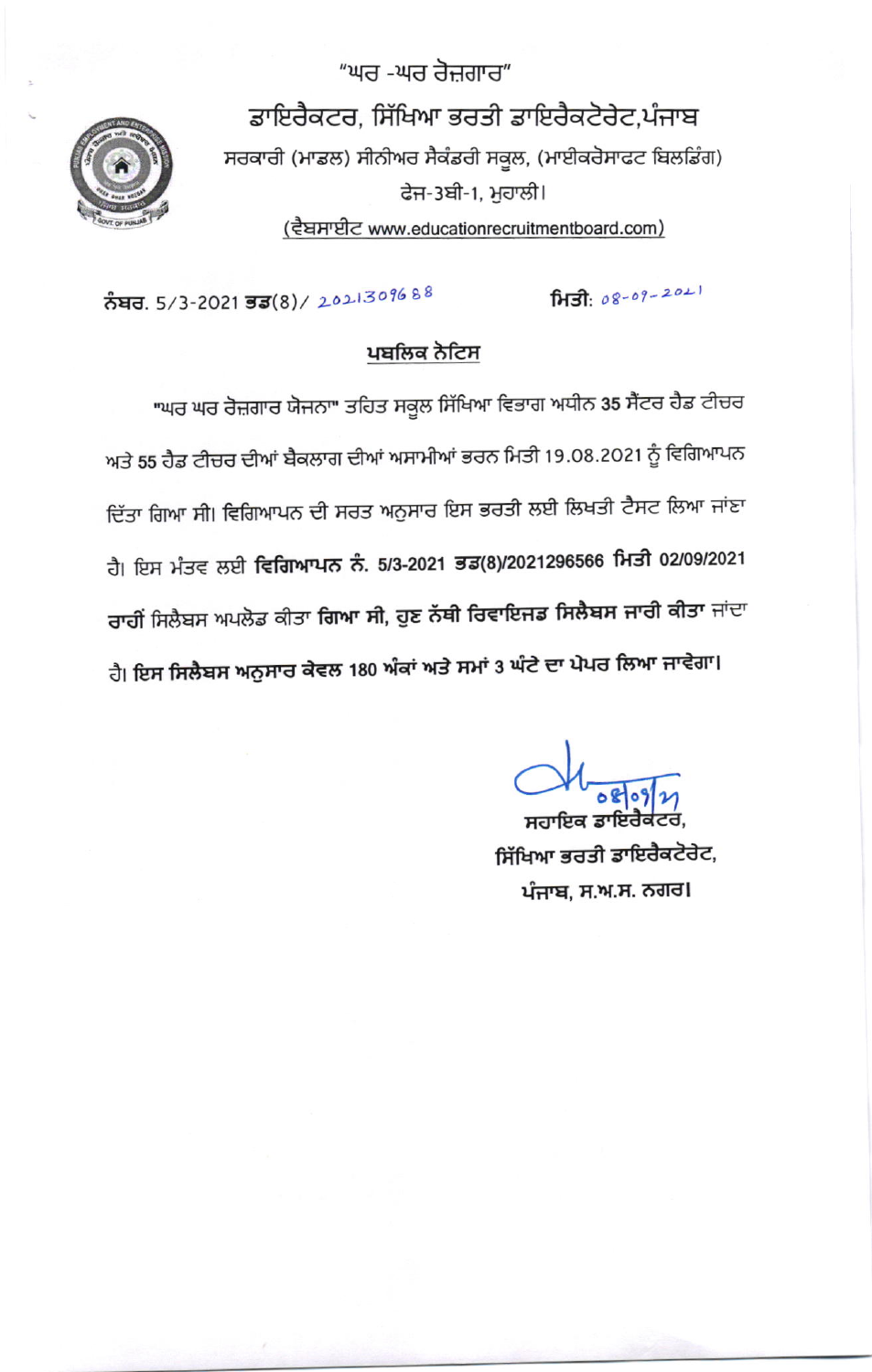ਡਾਇਰੈਕਟਰ, ਸਿੱਖਿਆ ਭਰਤੀ ਡਾਇਰੈਕਟੋਰੇਟ,ਪੰਜਾਬ ਸਰਕਾਰੀ (ਮਾਡਲ) ਸੀਨੀਅਰ ਸੈਕੰਡਰੀ ਸਕੂਲ, (ਮਾਈਕਰੋਸਾਫਟ ਬਿਲਡਿੰਗ) ਫੇਜ-3ਬੀ-1, ਮੁਹਾਲੀ। (ਵੈਬਸਾਈਟ www.educationrecruitmentboard.com)



ਨੰਬਰ. 5/3-2021 ਭਡ(8)/ 2021309688

## ਪਬਲਿਕ ਨੋਟਿਸ

"ਘਰ -ਘਰ ਰੋਜ਼ਗਾਰ"

"ਘਰ ਘਰ ਰੋਜ਼ਗਾਰ ਯੋਜਨਾ" ਤਹਿਤ ਸਕੂਲ ਸਿੱਖਿਆ ਵਿਭਾਗ ਅਧੀਨ 35 ਸੈਂਟਰ ਹੈਡ ਟੀਚਰ ਅਤੇ 55 ਹੈਡ ਟੀਚਰ ਦੀਆਂ ਬੈਕਲਾਗ ਦੀਆਂ ਅਸਾਮੀਆਂ ਭਰਨ ਮਿਤੀ 19.08.2021 ਨੂੰ ਵਿਗਿਆਪਨ ਦਿੱਤਾ ਗਿਆ ਸੀ। ਵਿਗਿਆਪਨ ਦੀ ਸਰਤ ਅਨੁਸਾਰ ਇਸ ਭਰਤੀ ਲਈ ਲਿਖਤੀ ਟੈਸਟ ਲਿਆ ਜਾਂਣਾ ਹੈ। ਇਸ ਮੰਤਵ ਲਈ **ਵਿਗਿਆਪਨ ਨੰ. 5/3-2021 ਭਡ(8)/2021296566 ਮਿਤੀ 02/09/2021 ਰਾਹੀਂ** ਸਿਲੈਬਸ ਅਪਲੋਡ ਕੀਤਾ **ਗਿਆ ਸੀ, ਹੁਣ ਨੱਥੀ ਰਿਵਾਇਜਡ ਸਿਲੈਬਸ ਜਾਰੀ ਕੀਤਾ** ਜਾਂਦਾ ਹੈ। ਇਸ ਸਿਲੈਬਸ ਅਨੁਸਾਰ ਕੇਵਲ 180 ਅੰਕਾਂ ਅਤੇ ਸਮਾਂ 3 ਘੰਟੇ ਦਾ ਪੇਪਰ ਲਿਆ ਜਾਵੇਗਾ।

ਸਿਤੀ: 08-09-2021

ਸਹਾਇਕ ਡਾਇਰੈਕ ਸਿੱਖਿਆ ਭਰਤੀ ਡਾਇਰੈਕਟੋਰੇਟ, ਪੰਜਾਬ, ਸ.ਅ.ਸ. ਨਗਰ।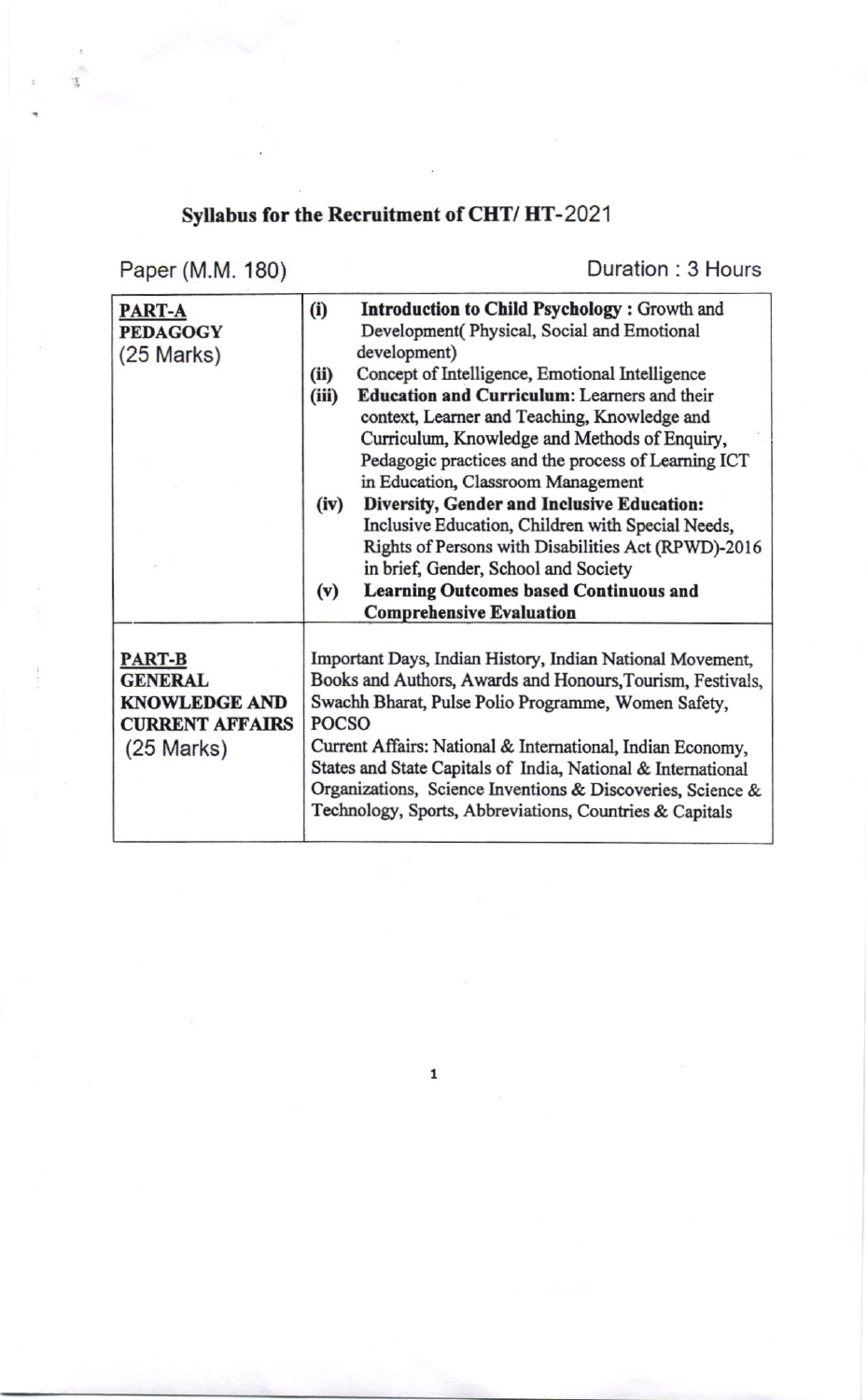## Syllabus for the Recruitment of CHT/HT-2021

Paper (M.M. 180)

t

Duration: 3 Hours

| PART-A<br><b>PEDAGOGY</b> | (i)                                                          | <b>Introduction to Child Psychology: Growth and</b><br>Development(Physical, Social and Emotional |
|---------------------------|--------------------------------------------------------------|---------------------------------------------------------------------------------------------------|
|                           |                                                              | development)                                                                                      |
| $(25$ Marks)              | (ii)                                                         | Concept of Intelligence, Emotional Intelligence                                                   |
|                           | (iii)                                                        | <b>Education and Curriculum: Learners and their</b>                                               |
|                           |                                                              | context, Learner and Teaching, Knowledge and                                                      |
|                           |                                                              | Curriculum, Knowledge and Methods of Enquiry,                                                     |
|                           |                                                              | Pedagogic practices and the process of Learning ICT                                               |
|                           |                                                              | in Education, Classroom Management                                                                |
|                           | (iv)                                                         | Diversity, Gender and Inclusive Education:                                                        |
|                           |                                                              | Inclusive Education, Children with Special Needs,                                                 |
|                           |                                                              | Rights of Persons with Disabilities Act (RPWD)-2016                                               |
|                           |                                                              | in brief, Gender, School and Society                                                              |
|                           | (v)                                                          | <b>Learning Outcomes based Continuous and</b>                                                     |
|                           |                                                              | <b>Comprehensive Evaluation</b>                                                                   |
|                           |                                                              |                                                                                                   |
| <b>PART-B</b>             | Important Days, Indian History, Indian National Movement,    |                                                                                                   |
| <b>GENERAL</b>            | Books and Authors, Awards and Honours, Tourism, Festivals,   |                                                                                                   |
| <b>KNOWLEDGE AND</b>      | Swachh Bharat, Pulse Polio Programme, Women Safety,          |                                                                                                   |
| <b>CURRENT AFFAIRS</b>    | POCSO                                                        |                                                                                                   |
| $(25$ Marks)              | Current Affairs: National & International, Indian Economy,   |                                                                                                   |
|                           | States and State Capitals of India, National & International |                                                                                                   |
|                           | Organizations, Science Inventions & Discoveries, Science &   |                                                                                                   |
|                           |                                                              | Technology, Sports, Abbreviations, Countries & Capitals                                           |
|                           |                                                              |                                                                                                   |

 $\mathbf 1$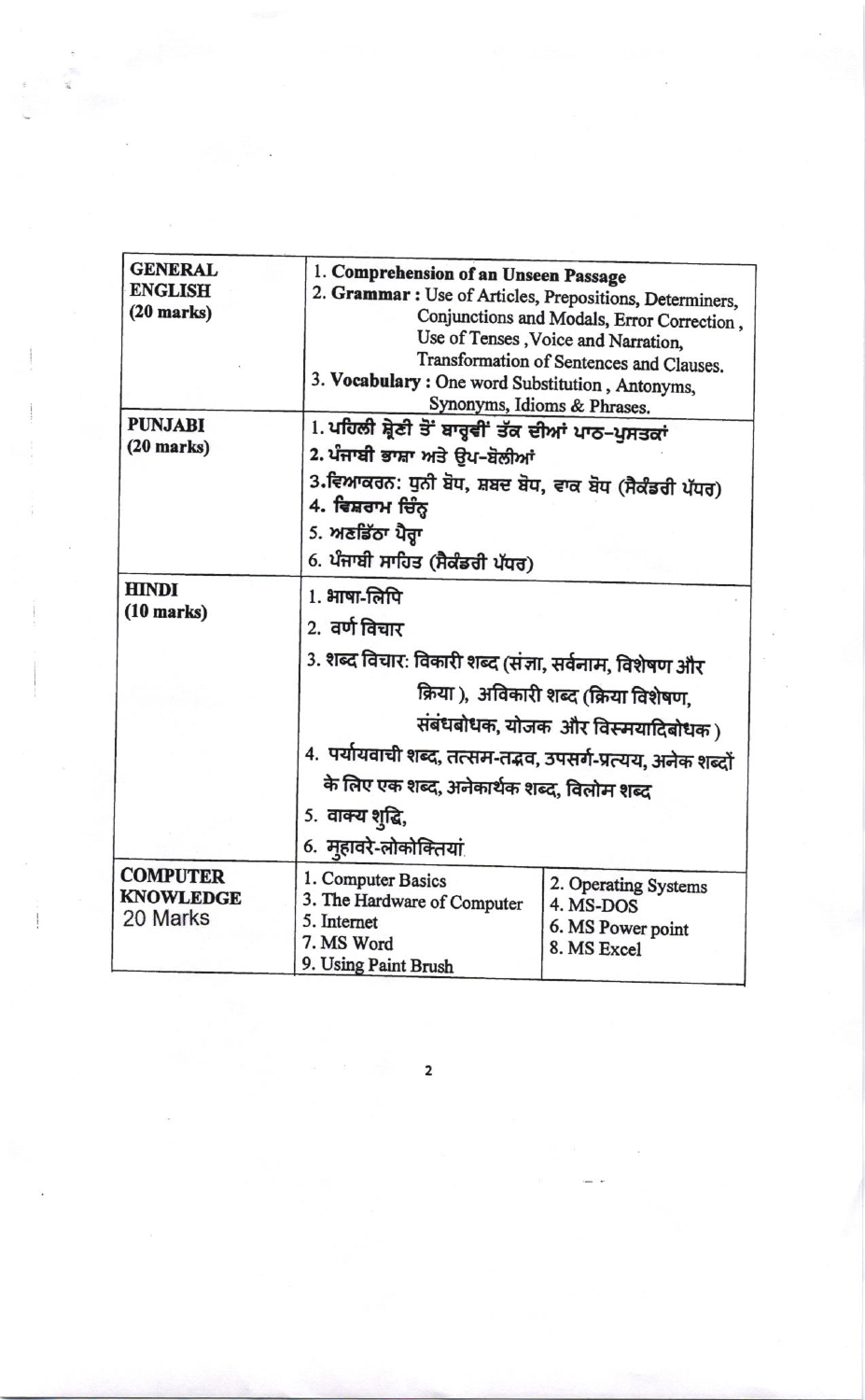| <b>GENERAL</b><br><b>ENGLISH</b><br>$(20$ marks) | 1. Comprehension of an Unseen Passage<br>2. Grammar : Use of Articles, Prepositions, Determiners,<br>3. Vocabulary: One word Substitution, Antonyms, | Conjunctions and Modals, Error Correction,<br>Use of Tenses, Voice and Narration,<br>Transformation of Sentences and Clauses.                                                                                                                        |  |  |
|--------------------------------------------------|------------------------------------------------------------------------------------------------------------------------------------------------------|------------------------------------------------------------------------------------------------------------------------------------------------------------------------------------------------------------------------------------------------------|--|--|
| <b>PUNJABI</b><br>$(20$ marks)                   | 4. ਵਿਸ਼ਰਾਮ ਚਿੰਨ੍ਹ<br>5. ਅਣਡਿੱਠਾ ਪੈਰ੍ਹਾ                                                                                                               | Synonyms, Idioms & Phrases.<br>1. ਪਹਿਲੀ ਸ਼੍ਰੇਣੀ ਤੋਂ ਬਾਰ੍ਹਵੀਂ ਤੱਕ ਦੀਆਂ ਪਾਠ–ਪੁਸਤਕਾਂ<br>2. ਪੰਜਾਬੀ ਭਾਸ਼ਾ ਅਤੇ ਉਪ-ਬੋਲੀਆਂ<br>3.ਵਿਆਕਰਨ: ਧੁਨੀ ਬੋਧ, ਸ਼ਬਦ ਬੋਧ, ਵਾਕ ਬੋਧ (ਸੈਕੰਡਰੀ ਪੱਧਰ)<br>6. ਪੰਜਾਬੀ ਸਾਹਿਤ (ਸੈਕੰਡਰੀ ਪੱਧਰ)                                         |  |  |
| <b>HINDI</b><br>$(10$ marks)                     | 1. भाषा-लिपि<br>2. वर्ण विचार<br>5. वाक्य शुद्धि,<br>6. महावरे-लोकोक्तियां                                                                           | 3. शब्द विचार: विकारी शब्द (संज्ञा, सर्वनाम, विशेषण और<br>क्रिया ), अविकारी शब्द (क्रिया विशेषण,<br>संबंधबोधक, योजक और विस्मयादिबोधक )<br>4. पर्यायवाची शब्द, तत्सम-तद्भव, उपसर्ग-प्रत्यय, अनेक शब्दों<br>के लिए एक शब्द, अनेकार्थक शब्द, विलोम शब्द |  |  |
| <b>COMPUTER</b><br><b>KNOWLEDGE</b><br>20 Marks  | 1. Computer Basics<br>3. The Hardware of Computer<br>5. Internet<br>7. MS Word<br>9. Using Paint Brush                                               | 2. Operating Systems<br>4. MS-DOS<br>6. MS Power point<br>8. MS Excel                                                                                                                                                                                |  |  |

 $\mathbf 2$